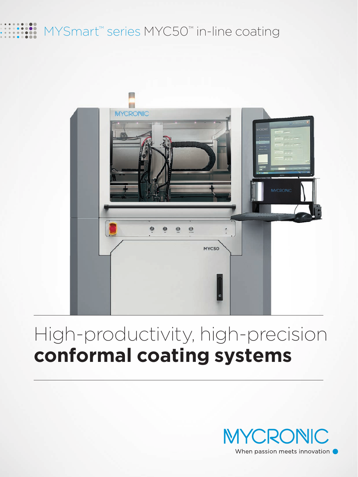## MYSmart<sup>™</sup> series MYC50™ in-line coating



## High-productivity, high-precision **conformal coating systems**

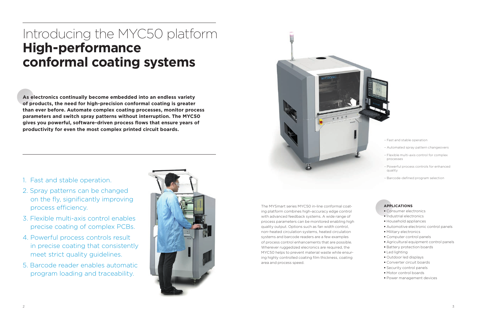# Introducing the MYC50 platform **High-performance conformal coating systems**

**As electronics continually become embedded into an endless variety of products, the need for high-precision conformal coating is greater than ever before. Automate complex coating processes, monitor process parameters and switch spray patterns without interruption. The MYC50**  gives you powerful, software-driven process flows that ensure years of **productivity for even the most complex printed circuit boards.**

- 1. Fast and stable operation.
- 2. Spray patterns can be changed on the fly, significantly improving process efficiency.
- 3. Flexible multi-axis control enables precise coating of complex PCBs.
- 4. Powerful process controls result in precise coating that consistently meet strict quality guidelines.
- 5. Barcode reader enables automatic program loading and traceability.



- Fast and stable operation
- Automated spray pattern changeovers
- Flexible multi-axis control for complex processes
- Powerful process controls for enhanced quality
- Barcode-defined program selection





## **APPLICATIONS**

- Consumer electronics
- Industrial electronics
- Household appliances
- Automotive electronic control panels
- Military electronics
- Computer control panels
- Agricultural equipment control panels
- Battery protection boards
- Led lighting
- Outdoor led displays
- Converter circuit boards
- Security control panels
- Motor control boards
- Power management devices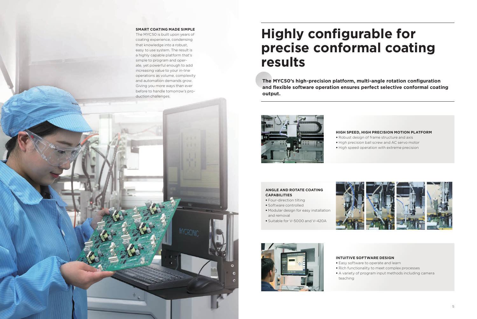# **Highly configurable for precise conformal coating results**

The MYC50's high-precision platform, multi-angle rotation configuration and flexible software operation ensures perfect selective conformal coating **output.**



#### **SMART COATING MADE SIMPLE**

The MYC50 is built upon years of coating experience, condensing that knowledge into a robust, easy to use system. The result is a highly capable platform that's simple to program and operate, yet powerful enough to add increasing value to your in-line operations as volume, complexity and automation demands grow. Giving you more ways than ever before to handle tomorrow's production challenges.

#### **HIGH SPEED, HIGH PRECISION MOTION PLATFORM**

• Robust design of frame structure and axis • High precision ball screw and AC servo motor • High speed operation with extreme precision



#### **ANGLE AND ROTATE COATING CAPABILITIES**

- Four-direction tilting
- Software controlled
- Modular design for easy installation and removal
- Suitable for V-5000 and V-420A



## **INTUITIVE SOFTWARE DESIGN**

• Easy software to operate and learn • Rich functionality to meet complex processes • A variety of program input methods including camera

- 
- 
- teaching

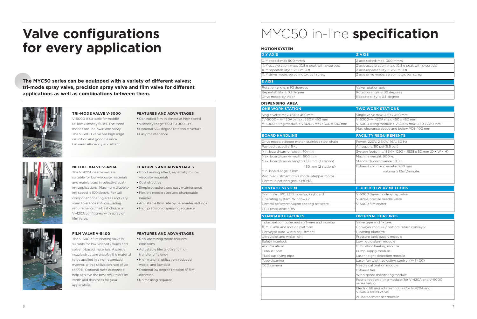# **for every application**

The MYC50 series can be equipped with a variety of different valves; tri-mode spray valve, precision spray valve and film valve for different **applications as well as combinations between them.**



V-5000 is suitable for middle to low viscosity fluids. The three modes are line, swirl and spray. The V-5000 valve has high edge definition and good balance between efficiency and effect.

#### **TRI-MODE VALVE V-5000**

- Controlled film thickness at high speed
- Viscosity range: 500~10,000 CPS
- Optional 360 degree rotation structure
- Easy maintenance



The V-420A needle valve is suitable for low-viscosity materials and mainly used in selective coating applications. Maximum dispensing speed is 100 dots/s. For tall component coating areas and very small tolerances of noncoating requirements, the best choice is V-420A configured with spray or film valve.

#### **FEATURES AND ADVANTAGES**

- Good sealing effect, especially for low viscosity materials
- $\bullet$  Cost effective
- Simple structure and easy maintenance
- Flexible needle sizes and changeable needles
- Adjustable flow rate by parameter settings
- High precision dispensing accuracy

#### **NEEDLE VALVE V-420A**

The V-5400 film coating valve is suitable for low viscosity fluids and solvent-based materials. A special nozzle structure enables the material to be applied in a non-atomized manner, with a utilization rate of up to 99%. Optional sizes of nozzles help achieve the best results of film width and thickness for your

#### **FEATURES AND ADVANTAGES**

**FILM VALVE V-5400**

application.

#### **FEATURES AND ADVANTAGES**

- Non-atomizing mode reduces emissions
- Adjustable film width and high transfer efficiency
- High material utilization, reduced waste, and low cost
- Optional 90 degree rotation of film direction
- No masking required

# **Valve configurations MYC50 in-line specification**

| X, Y AXIS                                          | <b>ZAXIS</b>           |
|----------------------------------------------------|------------------------|
| X, Y speed: max 800 mm/s                           | Z axis sr              |
| X, Y acceleration: max. (0.8 g peak with s-curves) | Z axis a               |
| X, Y repeatability: $\pm$ 25 um, 3 $\sigma$        | $Z$ axis re            |
| X, Y drive mode: servo motor, ball screw           | Z axis di              |
| <b>DAXIS</b>                                       |                        |
| Rotation angle: ± 90 degrees                       | Valve ro               |
| Repeatability: ± 0.1 degree                        | Rotation               |
| Drive mode: cylinder                               | Repeata                |
| <b>DISPENSING AREA</b>                             |                        |
| <b>ONE WORK STATION</b>                            | <b>TWO V</b>           |
| Single valve max: 650 × 450 mm                     | Single v               |
| (V-5000 + V-420A) max: 560 × 450 mm                | $V - 5000$             |
| V-5000 tilting module + V-420A max : 560 x 380 mm  | $V - 5000$             |
|                                                    | Max. cle               |
| <b>BOARD HANDLING</b>                              | <b>FACILI</b>          |
| Drive mode: stepper motor, stainless steel chain   | Power: 2               |
| Payload capacity: 5 kg                             | Air supp               |
| Min. board/carrier width: 40 mm                    | System                 |
| Max. board/carrier width: 500 mm                   | Machine                |
| Max. board/carrier length: 650 mm (1 station)      | Standar                |
| 450 mm (2 stations)                                | Exhaust                |
| Min. board edge: 3 mm                              |                        |
| Width adjustment drive mode: stepper motor         |                        |
| Communication signal: SMEMA                        |                        |
| <b>CONTROL SYSTEM</b>                              | <b>FLUID</b>           |
| Computer: IPC, LCD monitor, keyboard               | $V - 5000$             |
| Operating system: Windows 7                        | $V-420A$               |
| Control software: Axxon coating software           | $V - 5400$             |
| CCD resolution: 30W                                |                        |
| <b>STANDARD FEATURES</b>                           | <b>OPTIO</b>           |
| Industrial computer and software and monitor       | Valve ty               |
| X, Y, Z axis and motion platform                   | Convey                 |
| Conveyor auto-width adjustment                     | Cleaning               |
|                                                    |                        |
|                                                    | Pressure               |
| Ultraviolet and white light<br>Safety interlock    | Low ligu               |
| Audible alarm                                      | Circulat               |
| Exhaust port                                       | Pump st                |
| Fluid supplying pipe                               | Laser he               |
| Tube cleaning                                      | Laser fa               |
| CCD camera                                         | Needle                 |
|                                                    | Exhaust                |
|                                                    | Wind sp                |
|                                                    | Four dir               |
|                                                    | series va              |
|                                                    | Electric<br>$V - 5000$ |

- $x$  is speed: max.  $300$  mm/s
- $\overline{x}$  acceleration: max. (0.3 g peak with s-curves)
- $x$  is repeatability:  $± 25$  um, 3  $\sigma$
- xis drive mode: servo motor, ball screw

#### ve rotation axis

- tation angle: ± 30 degrees
- peatability: ± 0.1 degree

#### **VO WORK STATIONS**

- igle valve max:  $450 \times 450$  mm (V-420A max: 450 x 450 mm
- $5000$  tilting module + V-420A max: 450 x 380 mm
- x. clearance above and below PCB: 100 mm

### **BOARD FACILITY REQUIREMENTS**

- wer: 220V, 2.5KW, 16A, 60 Hz
- $supply: 80$  psi  $(5.5$  bar)
- $M$ istem footprint: 1364 × 1290 × 1638 ± 50 mm (D × W × H)
- chine weight: 900 kg
- andards compliance: CE UL
- haust volume: diameter 200 mm
	- volume  $\geq 13 m^3/m$ inute

## **CONTROL SYSTEM FLUID DELIVERY METHODS**

- 5000 three-mode spray valve
- 420A precise needle valve
- 5400 film coater

#### **PTIONAL FEATURES**

- Ive type and fixture
- nveyor module / bottom return conveyor
- $\frac{1}{2}$ aning platform
- essure tank supply module w liquid alarm module
- culation heating module
- $\overline{\text{mp}}$  supply module
- ser height detection module
- ser fan width adjusting control (V-5400)
- edle calibration module
- haust fan
- nd speed monitoring module
- ur direction tilting module (for V-420A and V-5000
- ies valve)
- ectric tilt and rotate module (for V-420A and
- 5000 series valve)
- barcode reader module

#### **MOTION SYSTEM**